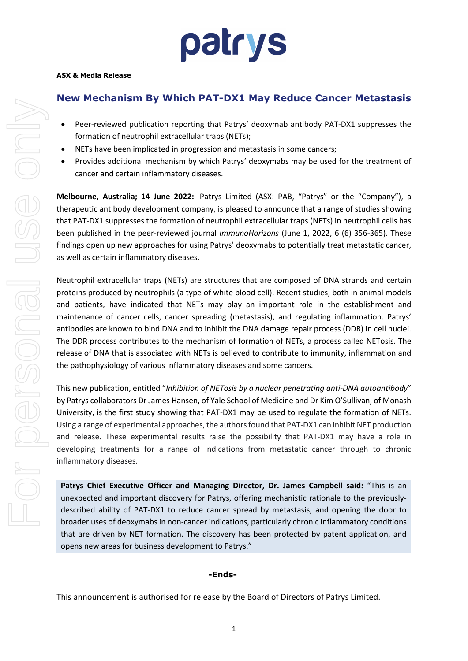# patrys

### **New Mechanism By Which PAT-DX1 May Reduce Cancer Metastasis**

- Peer-reviewed publication reporting that Patrys' deoxymab antibody PAT-DX1 suppresses the formation of neutrophil extracellular traps (NETs);
- NETs have been implicated in progression and metastasis in some cancers;
- Provides additional mechanism by which Patrys' deoxymabs may be used for the treatment of cancer and certain inflammatory diseases.

**Melbourne, Australia; 14 June 2022:** Patrys Limited (ASX: PAB, "Patrys" or the "Company"), a therapeutic antibody development company, is pleased to announce that a range of studies showing that PAT-DX1 suppresses the formation of neutrophil extracellular traps (NETs) in neutrophil cells has been published in the peer-reviewed journal *ImmunoHorizons* (June 1, 2022, 6 (6) 356-365). These findings open up new approaches for using Patrys' deoxymabs to potentially treat metastatic cancer, as well as certain inflammatory diseases.

Neutrophil extracellular traps (NETs) are structures that are composed of DNA strands and certain proteins produced by neutrophils (a type of white blood cell). Recent studies, both in animal models and patients, have indicated that NETs may play an important role in the establishment and maintenance of cancer cells, cancer spreading (metastasis), and regulating inflammation. Patrys' antibodies are known to bind DNA and to inhibit the DNA damage repair process (DDR) in cell nuclei. The DDR process contributes to the mechanism of formation of NETs, a process called NETosis. The release of DNA that is associated with NETs is believed to contribute to immunity, inflammation and the pathophysiology of various inflammatory diseases and some cancers.

This new publication, entitled "*Inhibition of NETosis by a nuclear penetrating anti-DNA autoantibody*" by Patrys collaborators Dr James Hansen, of Yale School of Medicine and Dr Kim O'Sullivan, of Monash University, is the first study showing that PAT-DX1 may be used to regulate the formation of NETs. Using a range of experimental approaches, the authors found that PAT-DX1 can inhibit NET production and release. These experimental results raise the possibility that PAT-DX1 may have a role in developing treatments for a range of indications from metastatic cancer through to chronic inflammatory diseases.

**Patrys Chief Executive Officer and Managing Director, Dr. James Campbell said:** "This is an unexpected and important discovery for Patrys, offering mechanistic rationale to the previouslydescribed ability of PAT-DX1 to reduce cancer spread by metastasis, and opening the door to broader uses of deoxymabs in non-cancer indications, particularly chronic inflammatory conditions that are driven by NET formation. The discovery has been protected by patent application, and opens new areas for business development to Patrys."

#### **-Ends-**

This announcement is authorised for release by the Board of Directors of Patrys Limited.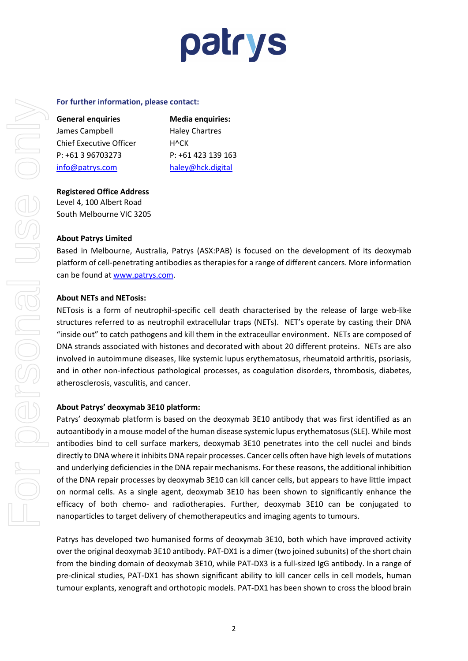### patrys

#### **For further information, please contact:**

| <b>General enquiries</b> |  |
|--------------------------|--|
| James Campbell           |  |
| Chief Executive Officer  |  |
| $P: +61396703273$        |  |
| info@patrys.com          |  |

**Media enquiries:** Haley Chartres H^CK P: +61 423 139 163 [haley@hck.digital](mailto:kwilliamson@we-buchan.com)

**Registered Office Address**  Level 4, 100 Albert Road South Melbourne VIC 3205

#### **About Patrys Limited**

Based in Melbourne, Australia, Patrys (ASX:PAB) is focused on the development of its deoxymab platform of cell-penetrating antibodies as therapies for a range of different cancers. More information can be found at [www.patrys.com.](http://www.patrys.com/)

#### **About NETs and NETosis:**

NETosis is a form of neutrophil-specific cell death characterised by the release of large web-like structures referred to as neutrophil extracellular traps (NETs). NET's operate by casting their DNA "inside out" to catch pathogens and kill them in the extraceullar environment. NETs are composed of DNA strands associated with histones and decorated with about 20 different proteins. NETs are also involved in autoimmune diseases, like systemic lupus erythematosus, rheumatoid arthritis, psoriasis, and in other non-infectious pathological processes, as coagulation disorders, thrombosis, diabetes, atherosclerosis, vasculitis, and cancer.

#### **About Patrys' deoxymab 3E10 platform:**

Patrys' deoxymab platform is based on the deoxymab 3E10 antibody that was first identified as an autoantibody in a mouse model of the human disease systemic lupus erythematosus (SLE). While most antibodies bind to cell surface markers, deoxymab 3E10 penetrates into the cell nuclei and binds directly to DNA where it inhibits DNA repair processes. Cancer cells often have high levels of mutations and underlying deficiencies in the DNA repair mechanisms. For these reasons, the additional inhibition of the DNA repair processes by deoxymab 3E10 can kill cancer cells, but appears to have little impact on normal cells. As a single agent, deoxymab 3E10 has been shown to significantly enhance the efficacy of both chemo- and radiotherapies. Further, deoxymab 3E10 can be conjugated to nanoparticles to target delivery of chemotherapeutics and imaging agents to tumours.

Patrys has developed two humanised forms of deoxymab 3E10, both which have improved activity over the original deoxymab 3E10 antibody. PAT-DX1 is a dimer (two joined subunits) of the short chain from the binding domain of deoxymab 3E10, while PAT-DX3 is a full-sized IgG antibody. In a range of pre-clinical studies, PAT-DX1 has shown significant ability to kill cancer cells in cell models, human tumour explants, xenograft and orthotopic models. PAT-DX1 has been shown to cross the blood brain